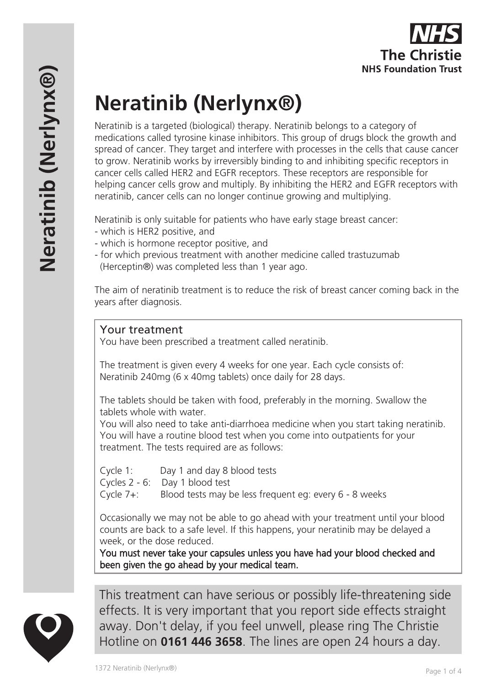# **Neratinib (Nerlynx®)**

Neratinib is a targeted (biological) therapy. Neratinib belongs to a category of medications called tyrosine kinase inhibitors. This group of drugs block the growth and spread of cancer. They target and interfere with processes in the cells that cause cancer to grow. Neratinib works by irreversibly binding to and inhibiting specific receptors in cancer cells called HER2 and EGFR receptors. These receptors are responsible for helping cancer cells grow and multiply. By inhibiting the HER2 and EGFR receptors with neratinib, cancer cells can no longer continue growing and multiplying.

Neratinib is only suitable for patients who have early stage breast cancer:

- which is HER2 positive, and
- which is hormone receptor positive, and
- for which previous treatment with another medicine called trastuzumab (Herceptin®) was completed less than 1 year ago.

The aim of neratinib treatment is to reduce the risk of breast cancer coming back in the years after diagnosis.

## Your treatment

You have been prescribed a treatment called neratinib.

The treatment is given every 4 weeks for one year. Each cycle consists of: Neratinib 240mg (6 x 40mg tablets) once daily for 28 days.

The tablets should be taken with food, preferably in the morning. Swallow the tablets whole with water.

You will also need to take anti-diarrhoea medicine when you start taking neratinib. You will have a routine blood test when you come into outpatients for your treatment. The tests required are as follows:

Cycle 1: Day 1 and day 8 blood tests

Cycles 2 - 6: Day 1 blood test

Cycle 7+: Blood tests may be less frequent eg: every 6 - 8 weeks

Occasionally we may not be able to go ahead with your treatment until your blood counts are back to a safe level. If this happens, your neratinib may be delayed a week, or the dose reduced.

You must never take your capsules unless you have had your blood checked and been given the go ahead by your medical team.



This treatment can have serious or possibly life-threatening side effects. It is very important that you report side effects straight away. Don't delay, if you feel unwell, please ring The Christie Hotline on **0161 446 3658**. The lines are open 24 hours a day.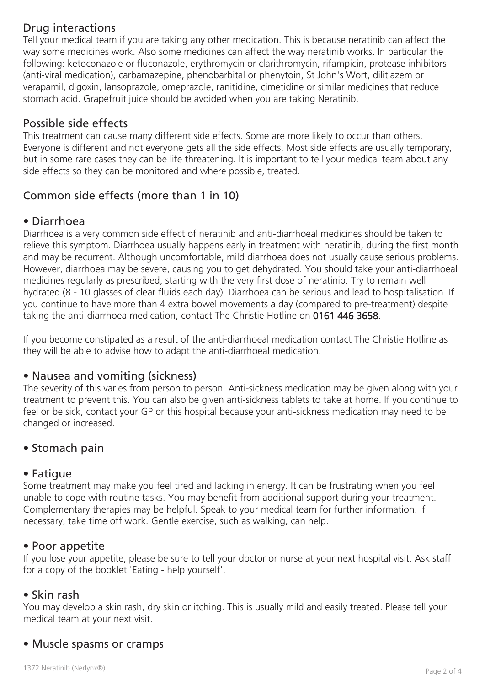# Drug interactions

Tell your medical team if you are taking any other medication. This is because neratinib can affect the way some medicines work. Also some medicines can affect the way neratinib works. In particular the following: ketoconazole or fluconazole, erythromycin or clarithromycin, rifampicin, protease inhibitors (anti-viral medication), carbamazepine, phenobarbital or phenytoin, St John's Wort, dilitiazem or verapamil, digoxin, lansoprazole, omeprazole, ranitidine, cimetidine or similar medicines that reduce stomach acid. Grapefruit juice should be avoided when you are taking Neratinib.

# Possible side effects

This treatment can cause many different side effects. Some are more likely to occur than others. Everyone is different and not everyone gets all the side effects. Most side effects are usually temporary, but in some rare cases they can be life threatening. It is important to tell your medical team about any side effects so they can be monitored and where possible, treated.

# Common side effects (more than 1 in 10)

# • Diarrhoea

Diarrhoea is a very common side effect of neratinib and anti-diarrhoeal medicines should be taken to relieve this symptom. Diarrhoea usually happens early in treatment with neratinib, during the first month and may be recurrent. Although uncomfortable, mild diarrhoea does not usually cause serious problems. However, diarrhoea may be severe, causing you to get dehydrated. You should take your anti-diarrhoeal medicines regularly as prescribed, starting with the very first dose of neratinib. Try to remain well hydrated (8 - 10 glasses of clear fluids each day). Diarrhoea can be serious and lead to hospitalisation. If you continue to have more than 4 extra bowel movements a day (compared to pre-treatment) despite taking the anti-diarrhoea medication, contact The Christie Hotline on 0161 446 3658.

If you become constipated as a result of the anti-diarrhoeal medication contact The Christie Hotline as they will be able to advise how to adapt the anti-diarrhoeal medication.

## • Nausea and vomiting (sickness)

The severity of this varies from person to person. Anti-sickness medication may be given along with your treatment to prevent this. You can also be given anti-sickness tablets to take at home. If you continue to feel or be sick, contact your GP or this hospital because your anti-sickness medication may need to be changed or increased.

# • Stomach pain

## • Fatigue

Some treatment may make you feel tired and lacking in energy. It can be frustrating when you feel unable to cope with routine tasks. You may benefit from additional support during your treatment. Complementary therapies may be helpful. Speak to your medical team for further information. If necessary, take time off work. Gentle exercise, such as walking, can help.

## • Poor appetite

If you lose your appetite, please be sure to tell your doctor or nurse at your next hospital visit. Ask staff for a copy of the booklet 'Eating - help yourself'.

#### • Skin rash

You may develop a skin rash, dry skin or itching. This is usually mild and easily treated. Please tell your medical team at your next visit.

# • Muscle spasms or cramps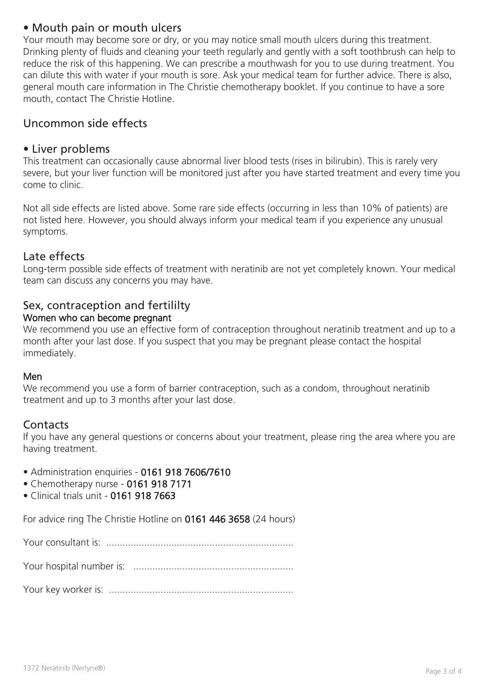# • Mouth pain or mouth ulcers

Your mouth may become sore or dry, or you may notice small mouth ulcers during this treatment. Drinking plenty of fluids and cleaning your teeth regularly and gently with a soft toothbrush can help to reduce the risk of this happening. We can prescribe a mouthwash for you to use during treatment. You can dilute this with water if your mouth is sore. Ask your medical team for further advice. There is also, general mouth care information in The Christie chemotherapy booklet. If you continue to have a sore mouth, contact The Christie Hotline.

# Uncommon side effects

## • Liver problems

This treatment can occasionally cause abnormal liver blood tests (rises in bilirubin). This is rarely very severe, but your liver function will be monitored just after you have started treatment and every time you come to clinic.

Not all side effects are listed above. Some rare side effects (occurring in less than 10% of patients) are not listed here. However, you should always inform your medical team if you experience any unusual symptoms.

## Late effects

Long-term possible side effects of treatment with neratinib are not yet completely known. Your medical team can discuss any concerns you may have.

# Sex, contraception and fertililty

### Women who can become pregnant

We recommend you use an effective form of contraception throughout neratinib treatment and up to a month after your last dose. If you suspect that you may be pregnant please contact the hospital immediately.

#### Men

We recommend you use a form of barrier contraception, such as a condom, throughout neratinib treatment and up to 3 months after your last dose.

# **Contacts**

If you have any general questions or concerns about your treatment, please ring the area where you are having treatment.

- Administration enquiries 0161 918 7606/7610
- Chemotherapy nurse 0161 918 7171
- Clinical trials unit 0161 918 7663

For advice ring The Christie Hotline on 0161 446 3658 (24 hours)

Your consultant is: .....................................................................

Your hospital number is: ...........................................................

Your key worker is: ....................................................................